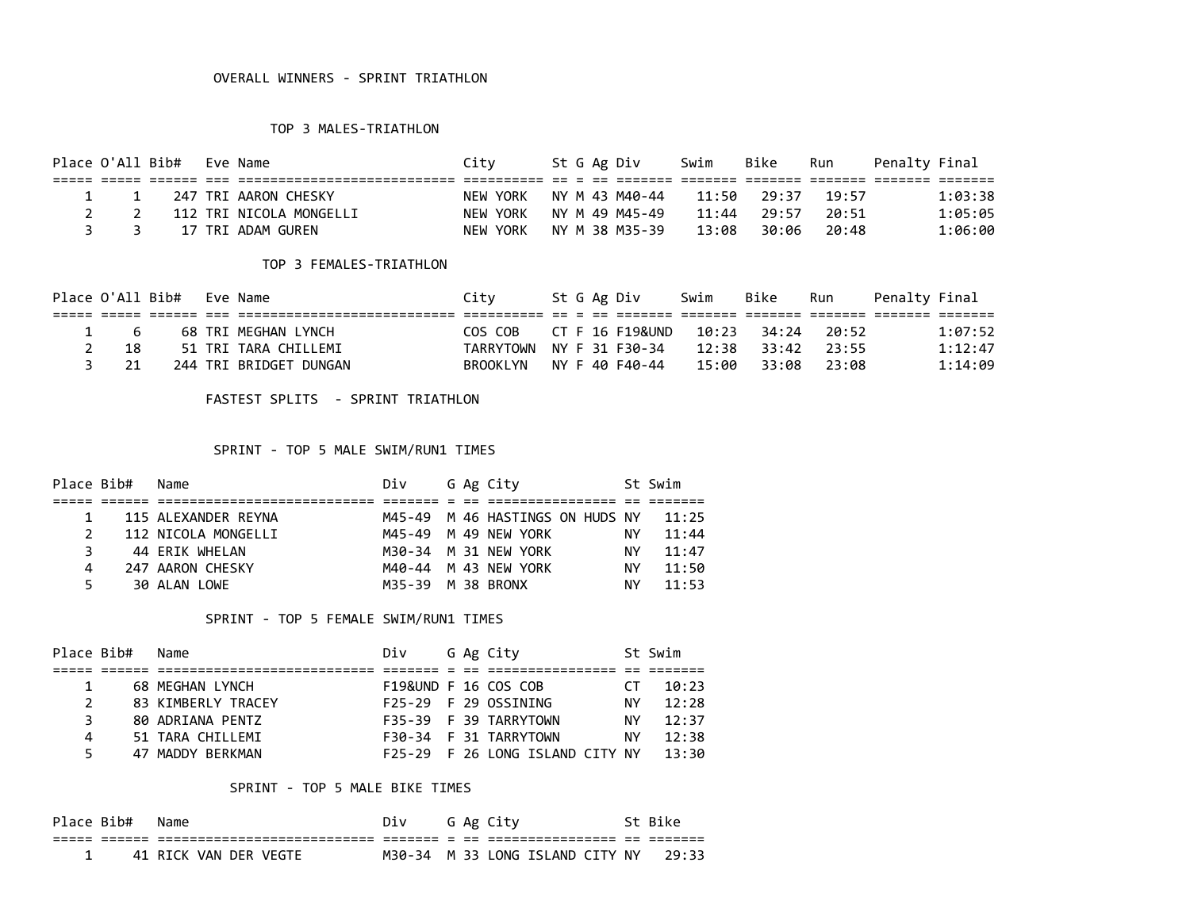#### TOP 3 MALES-TRIATHLON

| Place O'All Bib# |                               |  | Eve Name                | Citv     |  | St G Ag Div    | Swim  | Bike        | Run   | Penalty Final |  |
|------------------|-------------------------------|--|-------------------------|----------|--|----------------|-------|-------------|-------|---------------|--|
|                  |                               |  |                         |          |  |                |       |             |       |               |  |
|                  | $1 \quad 1$                   |  | 247 TRI AARON CHESKY    | NEW YORK |  | NY M 43 M40-44 |       | 11:50 29:37 | 19.57 | 1:03:38       |  |
|                  |                               |  | 112 TRI NICOLA MONGELLI | NEW YORK |  | NY M 49 M45-49 | 11:44 | 29:57       | 20:51 | 1:05:05       |  |
|                  | $\overline{3}$ $\overline{3}$ |  | 17 TRI ADAM GUREN       | NEW YORK |  | NY M 38 M35-39 | 13:08 | 30:06       | 20:48 | 1:06:00       |  |

#### TOP 3 FEMALES-TRIATHLON

|             | Place O'All Bib# Eve Name |                        | Citv                     |  | St G Ag Div     | Swim  | Bike              | Run   | Penaltv Final |         |
|-------------|---------------------------|------------------------|--------------------------|--|-----------------|-------|-------------------|-------|---------------|---------|
|             |                           |                        |                          |  |                 |       |                   |       |               |         |
| $1 \quad 6$ |                           | 68 TRI MEGHAN LYNCH    | COS COB                  |  | CT F 16 F19&UND |       | 10:23 34:24 20:52 |       |               | 1:07:52 |
| - 18        |                           | 51 TRI TARA CHILLEMI   | TARRYTOWN NY F 31 F30-34 |  |                 |       | 12:38 33:42       | 23.55 |               | 1:12:47 |
| 21          |                           | 244 TRI BRIDGET DUNGAN | BROOKLYN NY F 40 F40-44  |  |                 | 15:00 | 33:08             | 23:08 |               | 1:14:09 |

FASTEST SPLITS - SPRINT TRIATHLON

## SPRINT - TOP 5 MALE SWIM/RUN1 TIMES

| Place Bib# | Name                | Div               |  | G Ag City                             |     | St Swim |
|------------|---------------------|-------------------|--|---------------------------------------|-----|---------|
|            |                     |                   |  |                                       |     |         |
|            | 115 ALEXANDER REYNA |                   |  | M45-49 M 46 HASTINGS ON HUDS NY 11:25 |     |         |
|            | 112 NICOLA MONGELLI |                   |  | M45-49 M 49 NEW YORK                  | ΝY  | 11:44   |
|            | 44 ERIK WHELAN      |                   |  | M30-34 M 31 NEW YORK                  | ΝY  | 11:47   |
| 4          | 247 AARON CHESKY    |                   |  | M40-44 M 43 NFW YORK                  | NY. | 11:50   |
|            | 30 ALAN LOWE        | M35-39 M 38 BRONX |  |                                       | NY  | 11:53   |

## SPRINT - TOP 5 FEMALE SWIM/RUN1 TIMES

| Place Bib#    | Name               | Div |  | G Ag City                             |     | St Swim |
|---------------|--------------------|-----|--|---------------------------------------|-----|---------|
|               |                    |     |  |                                       |     |         |
|               | 68 MEGHAN LYNCH    |     |  | F19&UND F 16 COS COB                  | CT. | 10:23   |
| $\mathcal{P}$ | 83 KIMBERLY TRACEY |     |  | F25-29 F 29 OSSINING                  | NY  | 12:28   |
| 3.            | 80 ADRIANA PENTZ   |     |  | F35-39 F 39 TARRYTOWN                 | NY. | 12:37   |
| 4             | 51 TARA CHILLEMI   |     |  | F30-34 F 31 TARRYTOWN                 | ΝY  | 12:38   |
|               | 47 MADDY BERKMAN   |     |  | F25-29 F 26 LONG ISLAND CITY NY 13:30 |     |         |

## SPRINT - TOP 5 MALE BIKE TIMES

| Place Bib# | Name                  | Div |  | G Ag City                       | St Bike |
|------------|-----------------------|-----|--|---------------------------------|---------|
|            |                       |     |  |                                 |         |
|            | 41 RICK VAN DER VEGTE |     |  | M30-34 M 33 LONG ISLAND CITY NY | 29:33   |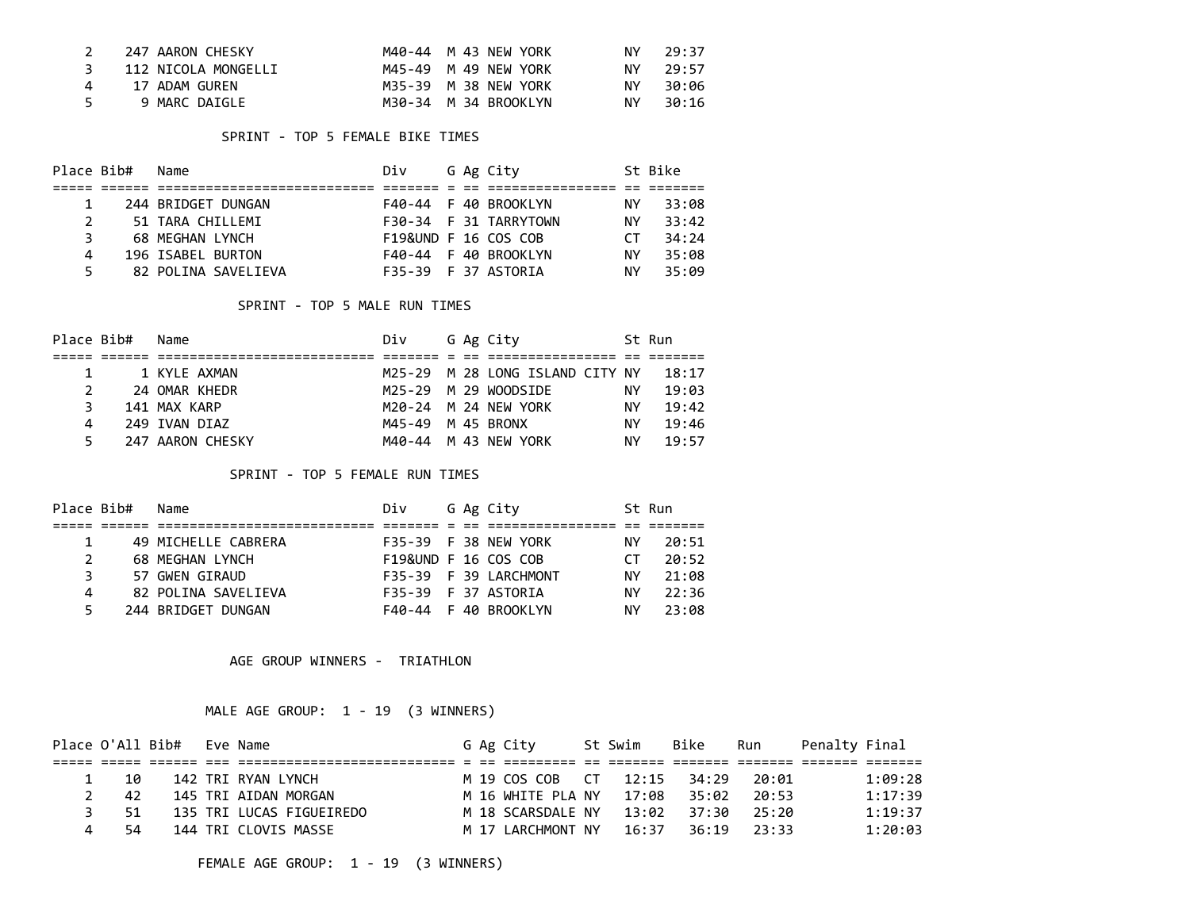| 247 AARON CHESKY    | M40-44 M 43 NEW YORK | ΝY  | 29:37    |
|---------------------|----------------------|-----|----------|
| 112 NICOLA MONGELLI | M45-49 M 49 NEW YORK |     | NY 29:57 |
| 17 ADAM GUREN       | M35-39 M 38 NEW YORK | NY. | 30:06    |
| 9 MARC DAIGLE       | M30-34 M 34 BROOKLYN | NY. | 30:16    |

#### SPRINT - TOP 5 FEMALE BIKE TIMES

| Place Bib#   | Name                | Div                  |  | G Ag City             |      | St Bike |
|--------------|---------------------|----------------------|--|-----------------------|------|---------|
|              |                     |                      |  |                       |      |         |
|              | 244 BRIDGET DUNGAN  |                      |  | F40-44 F 40 BROOKLYN  | NY . | 33:08   |
| $\mathbf{2}$ | 51 TARA CHILLEMI    |                      |  | F30-34 F 31 TARRYTOWN | ΝY   | 33:42   |
| 3.           | 68 MEGHAN LYNCH     | F19&UND F 16 COS COB |  |                       | CT.  | 34:24   |
| 4            | 196 ISABEL BURTON   |                      |  | F40-44 F 40 BROOKLYN  | ΝY   | 35:08   |
| 5.           | 82 POLINA SAVELIEVA | F35-39 F 37 ASTORIA  |  |                       | NΥ   | 35:09   |

## SPRINT - TOP 5 MALE RUN TIMES

|    | Place Bib# Name        |                  | Div               |  | G Ag City                             |    | St Run |
|----|------------------------|------------------|-------------------|--|---------------------------------------|----|--------|
|    |                        |                  |                   |  |                                       |    |        |
|    | $1 \quad \blacksquare$ | 1 KYIF AXMAN     |                   |  | M25-29 M 28 LONG ISLAND CITY NY 18:17 |    |        |
| 2  |                        | 24 OMAR KHEDR    |                   |  | M25-29 M 29 WOODSIDE                  | NΥ | 19:03  |
| 3  |                        | 141 MAX KARP     |                   |  | M20-24 M 24 NEW YORK                  | NΥ | 19:42  |
| 4  |                        | 249 TVAN DTAZ    | M45-49 M 45 BRONX |  |                                       | NΥ | 19:46  |
| 5. |                        | 247 AARON CHESKY |                   |  | M40-44 M 43 NEW YORK                  | NΥ | 19:57  |

## SPRINT - TOP 5 FEMALE RUN TIMES

| Place Bib# | Name                | Div                  |  | G Ag City             |     | St Run |
|------------|---------------------|----------------------|--|-----------------------|-----|--------|
|            |                     |                      |  |                       |     |        |
|            | 49 MICHELLE CABRERA |                      |  | F35-39 F 38 NEW YORK  | NY. | 20:51  |
| 2          | 68 MEGHAN LYNCH     | F19&UND F 16 COS COB |  |                       | rт  | 20:52  |
| 3.         | 57 GWEN GIRAUD      |                      |  | F35-39 F 39 LARCHMONT | NΥ  | 21:08  |
| 4          | 82 POLINA SAVELIEVA | F35-39 F 37 ASTORIA  |  |                       | ΝY  | 22:36  |
|            | 244 BRIDGET DUNGAN  |                      |  | F40-44 F 40 BROOKLYN  | NΥ  | 23:08  |

AGE GROUP WINNERS - TRIATHLON

# MALE AGE GROUP: 1 - 19 (3 WINNERS)

|      | Place O'All Bib# Eve Name |                          |  | G Ag City                           | St Swim | Bike | Run Penalty Final |         |
|------|---------------------------|--------------------------|--|-------------------------------------|---------|------|-------------------|---------|
|      |                           |                          |  |                                     |         |      |                   |         |
| 1 10 |                           | 142 TRI RYAN LYNCH       |  | M 19 COS COB CT 12:15 34:29 20:01   |         |      |                   | 1:09:28 |
| 2 42 |                           | 145 TRI AIDAN MORGAN     |  | M 16 WHITE PLA NY 17:08 35:02 20:53 |         |      |                   | 1:17:39 |
| 3 51 |                           | 135 TRI LUCAS FIGUEIREDO |  | M 18 SCARSDALE NY 13:02 37:30 25:20 |         |      |                   | 1:19:37 |
| - 54 |                           | 144 TRI CLOVIS MASSE     |  | M 17 LARCHMONT NY 16:37 36:19 23:33 |         |      |                   | 1:20:03 |

FEMALE AGE GROUP: 1 - 19 (3 WINNERS)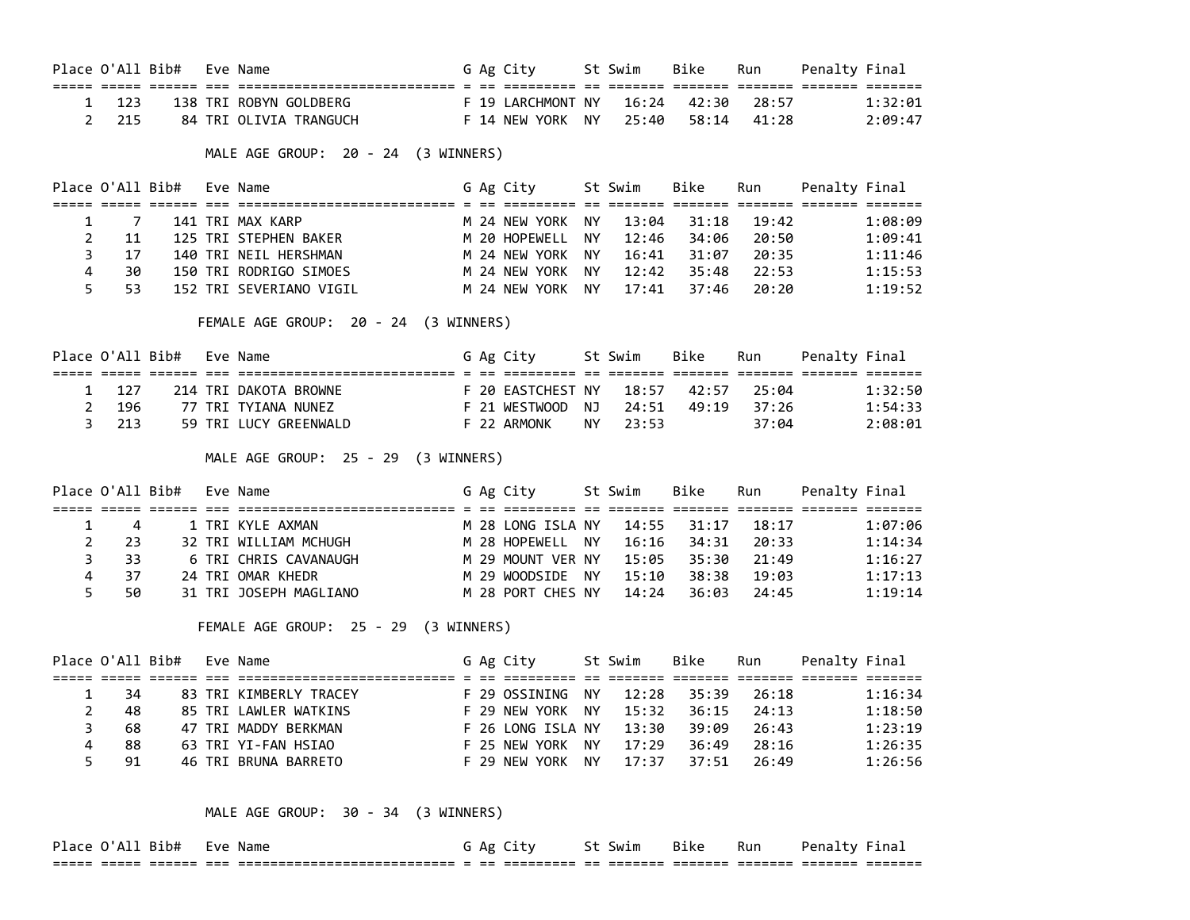|                |                  | Place O'All Bib#          | Eve Name                                                                                                      |  | G Ag City St Swim                                                                      |      |       | Bike        | Run   | Penalty Final     |         |
|----------------|------------------|---------------------------|---------------------------------------------------------------------------------------------------------------|--|----------------------------------------------------------------------------------------|------|-------|-------------|-------|-------------------|---------|
| 1              | 123              |                           |                                                                                                               |  |                                                                                        |      |       | 16:24 42:30 | 28:57 |                   | 1:32:01 |
| $\overline{2}$ | 215              |                           | 138 TRI ROBYN GOLDBERG F 19 LARCHMONT NY<br>84 TRI OLIVIA TRANGUCH F 14 NEW YORK NY                           |  |                                                                                        |      |       | 25:40 58:14 | 41:28 |                   | 2:09:47 |
|                |                  |                           | MALE AGE GROUP: 20 - 24 (3 WINNERS)                                                                           |  |                                                                                        |      |       |             |       |                   |         |
|                |                  | Place O'All Bib# Eve Name |                                                                                                               |  | G Ag City St Swim Bike                                                                 |      |       |             |       | Run Penalty Final |         |
|                |                  |                           |                                                                                                               |  |                                                                                        |      |       |             |       |                   |         |
| $\mathbf{1}$   | $\overline{7}$   |                           | 141 TRI MAX KARP                                                                                              |  | M 24 NEW YORK NY                                                                       |      | 13:04 | 31:18       | 19:42 |                   | 1:08:09 |
| $\overline{2}$ | 11               |                           | 125 TRI STEPHEN BAKER M 20 HOPEWELL NY                                                                        |  |                                                                                        |      | 12:46 | 34:06       | 20:50 |                   | 1:09:41 |
| 3              | 17               |                           |                                                                                                               |  |                                                                                        |      |       |             | 20:35 |                   | 1:11:46 |
| 4              | 30               |                           |                                                                                                               |  |                                                                                        |      |       |             | 22:53 |                   | 1:15:53 |
| 5              | 53               |                           | M 24 NEW YORK NY<br>152 TRI SEVERIANO VIGIL                                                                   |  |                                                                                        |      | 17:41 | 37:46       | 20:20 |                   | 1:19:52 |
|                |                  |                           | FEMALE AGE GROUP: 20 - 24 (3 WINNERS)                                                                         |  |                                                                                        |      |       |             |       |                   |         |
|                |                  | Place O'All Bib# Eve Name |                                                                                                               |  | G Ag City St Swim Bike Run Penalty Final                                               |      |       |             |       |                   |         |
|                |                  |                           |                                                                                                               |  |                                                                                        |      |       |             |       |                   |         |
| 1              | 127              |                           | 214 TRI DAKOTA BROWNE                                                                                         |  | F 20 EASTCHEST NY   18:57   42:57   25:04<br>F 21 WESTWOOD  NJ   24:51   49:19   37:26 |      |       |             |       |                   | 1:32:50 |
| $\overline{2}$ | 196              |                           | 77 TRI TYIANA NUNEZ                                                                                           |  |                                                                                        |      |       |             |       |                   | 1:54:33 |
| 3              | 213              |                           | 59 TRI LUCY GREENWALD F 22 ARMONK                                                                             |  |                                                                                        | NY L | 23:53 |             | 37:04 |                   | 2:08:01 |
|                |                  |                           | MALE AGE GROUP: 25 - 29 (3 WINNERS)                                                                           |  |                                                                                        |      |       |             |       |                   |         |
|                |                  | Place O'All Bib#          | Eve Name                                                                                                      |  | G Ag City St Swim                                                                      |      |       | Bike        | Run   | Penalty Final     |         |
|                |                  |                           | <u>stiti osoo oodia oo aadiaadiaadiaadiaadiaadi o oo aadiaadi oo aadiaa aadiaa aadiaa aadiaa aadia aadiaa</u> |  |                                                                                        |      |       |             |       |                   |         |
| $\mathbf{1}$   | $\overline{4}$   |                           |                                                                                                               |  |                                                                                        |      |       |             | 18:17 |                   | 1:07:06 |
| $\overline{2}$ | 23               |                           |                                                                                                               |  |                                                                                        |      |       |             | 20:33 |                   | 1:14:34 |
| 3              | 33               |                           |                                                                                                               |  |                                                                                        |      |       |             | 21:49 |                   | 1:16:27 |
| 4              | 37               |                           | M 29 WOODSIDE NY 15:10<br>M 28 PORT CHES NY 14:24<br>24 TRI OMAR KHEDR                                        |  |                                                                                        |      |       | 38:38       | 19:03 |                   | 1:17:13 |
| 5              | 50               |                           | 31 TRI JOSEPH MAGLIANO                                                                                        |  |                                                                                        |      |       | 36:03       | 24:45 |                   | 1:19:14 |
|                |                  |                           | FEMALE AGE GROUP: 25 - 29 (3 WINNERS)                                                                         |  |                                                                                        |      |       |             |       |                   |         |
|                | Place O'All Bib# |                           | Eve Name                                                                                                      |  | G Ag City St Swim                                                                      |      |       | Bike        | Run   | Penalty Final     |         |
| $\mathbf{1}$   | 34               |                           | 83 TRI KIMBERLY TRACEY                                                                                        |  | F 29 OSSINING NY                                                                       |      | 12:28 | 35:39       | 26:18 |                   | 1:16:34 |
| $\overline{2}$ | 48               |                           | 85 TRI LAWLER WATKINS F 29 NEW YORK NY                                                                        |  |                                                                                        |      | 15:32 | 36:15       | 24:13 |                   | 1:18:50 |
| 3              | 68               |                           |                                                                                                               |  |                                                                                        |      | 13:30 | 39:09       | 26:43 |                   | 1:23:19 |
| 4              | 88               |                           | 47 TRI MADDY BERKMAN<br>63 TRI YI-FAN HSIAO                         F 25 NEW YORK   NY                        |  |                                                                                        |      | 17:29 | 36:49       | 28:16 |                   | 1:26:35 |
| 5              | 91               |                           | F 29 NEW YORK NY<br>46 TRI BRUNA BARRETO                                                                      |  |                                                                                        |      | 17:37 | 37:51       | 26:49 |                   | 1:26:56 |
|                |                  |                           |                                                                                                               |  |                                                                                        |      |       |             |       |                   |         |
|                |                  |                           | MALE AGE GROUP: 30 - 34 (3 WINNERS)                                                                           |  |                                                                                        |      |       |             |       |                   |         |

Place O'All Bib# Eve Name extending the G Ag City of St Swim Bike Run Penalty Final ===== ===== ====== === =========================== = == ========= == ======= ======= ======= ======= =======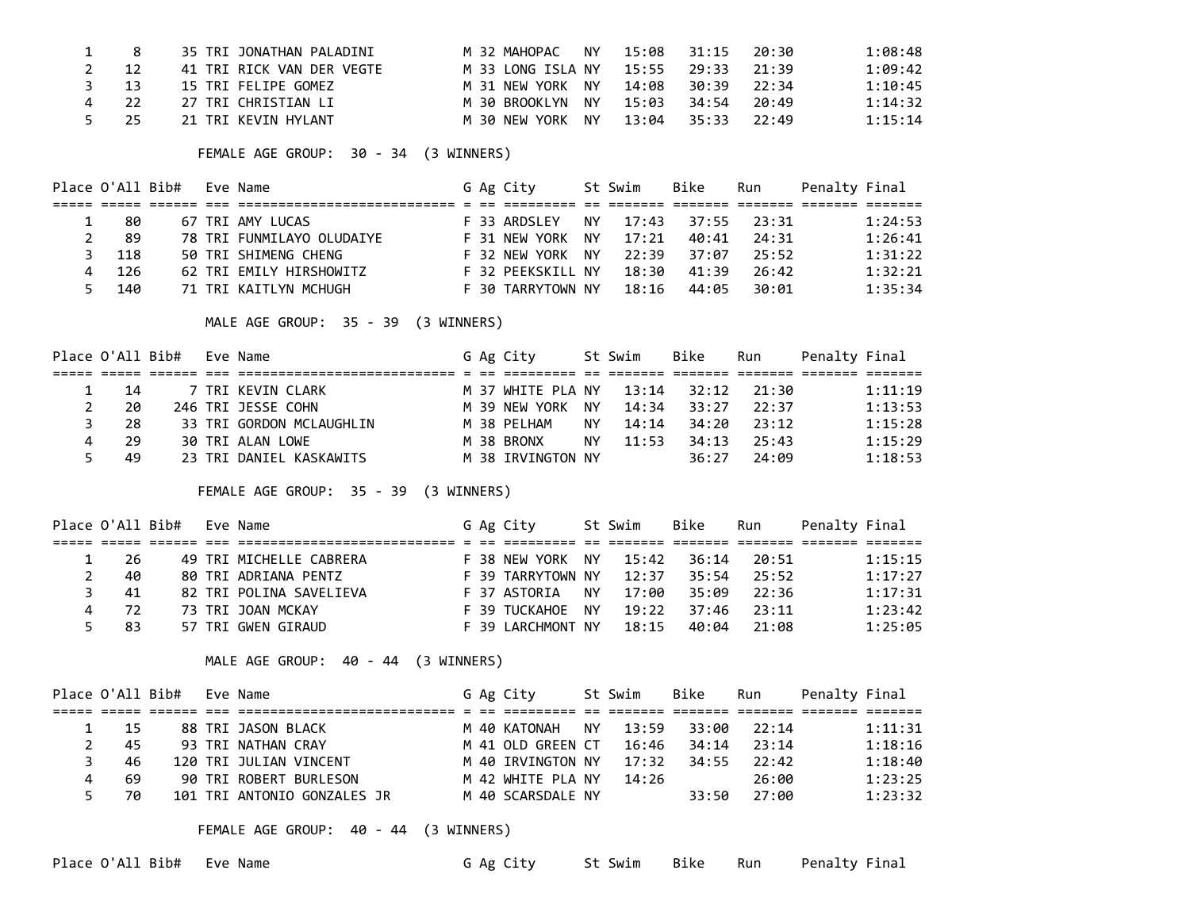|           | 35 TRI JONATHAN PALADINI  | NY NY<br>M 32 MAHOPAC      | 15:08       | 31:15 | 20:30 | 1:08:48 |
|-----------|---------------------------|----------------------------|-------------|-------|-------|---------|
| 12        | 41 TRI RICK VAN DER VEGTE | M 33 LONG ISLA NY          | 15:55 29:33 |       | 21:39 | 1:09:42 |
| $3 \t 13$ | 15 TRI FELIPE GOMEZ       | M 31 NEW YORK NY           | 14:08       | 30:39 | 22:34 | 1:10:45 |
| 22        | 27 TRI CHRISTIAN LI       | M 30 BROOKLYN NY           | 15:03       | 34:54 | 20:49 | 1:14:32 |
| 25        | 21 TRI KEVIN HYLANT       | <b>NY</b><br>M 30 NEW YORK | 13:04       | 35:33 | 22:49 | 1:15:14 |

FEMALE AGE GROUP: 30 - 34 (3 WINNERS)

| Place O'All Bib# |     |  | Eve Name                  |  | G Ag City         |     | St Swim | Bike  | Run         | Penalty Final |         |
|------------------|-----|--|---------------------------|--|-------------------|-----|---------|-------|-------------|---------------|---------|
|                  |     |  |                           |  |                   |     |         |       |             |               |         |
|                  | -80 |  | 67 TRI AMY LUCAS          |  | F 33 ARDSLEY      | NY. | 17:43   |       | 37:55 23:31 |               | 1:24:53 |
|                  | -89 |  | 78 TRI FUNMILAYO OLUDAIYE |  | F 31 NEW YORK NY  |     | 17:21   | 40:41 | 24:31       |               | 1:26:41 |
| 3                | 118 |  | 50 TRI SHIMENG CHENG      |  | F 32 NEW YORK NY  |     | 22:39   | 37:07 | 75:52       |               | 1:31:22 |
| 4                | 126 |  | 62 TRI EMILY HIRSHOWITZ   |  | F 32 PEEKSKILL NY |     | 18:30   | 41:39 | 26:42       |               | 1:32:21 |
| 5.               | 140 |  | 71 TRI KAITLYN MCHUGH     |  | F 30 TARRYTOWN NY |     | 18:16   | 44:05 | 30:01       |               | 1:35:34 |

MALE AGE GROUP: 35 - 39 (3 WINNERS)

|             |      | Place O'All Bib# Eve Name |                          |  | G Ag City                           |     | St Swim | Bike        | Run         | Penalty Final |         |
|-------------|------|---------------------------|--------------------------|--|-------------------------------------|-----|---------|-------------|-------------|---------------|---------|
|             |      |                           |                          |  |                                     |     |         |             |             |               |         |
|             | - 14 |                           | 7 TRI KEVIN CLARK        |  | M 37 WHITE PLA NY 13:14 32:12 21:30 |     |         |             |             |               | 1:11:19 |
| $2^{\circ}$ | 20   |                           | 246 TRI JESSE COHN       |  | M 39 NEW YORK NY                    |     |         | 14:34 33:27 | 22:37       |               | 1:13:53 |
| 3           | -28  |                           | 33 TRI GORDON MCLAUGHLIN |  | M 38 PELHAM                         | NY. | 14:14   |             | 34:20 23:12 |               | 1:15:28 |
| 4           | -29  |                           | 30 TRI ALAN LOWE         |  | M 38 BRONX                          | NY. | 11:53   | 34:13       | 25:43       |               | 1:15:29 |
| 5.          | 49   |                           | 23 TRI DANIEL KASKAWITS  |  | M 38 IRVINGTON NY                   |     |         | 36:27       | 24:09       |               | 1:18:53 |

FEMALE AGE GROUP: 35 - 39 (3 WINNERS)

| Place O'All Bib# |     |  | Eve Name                |  | G Ag City         |    | St Swim | Bike  | Run   | Penalty Final |         |
|------------------|-----|--|-------------------------|--|-------------------|----|---------|-------|-------|---------------|---------|
|                  |     |  |                         |  |                   |    |         |       |       |               |         |
|                  | -26 |  | 49 TRI MICHELLE CABRERA |  | F 38 NEW YORK NY  |    | 15:42   | 36:14 | 20:51 |               | 1:15:15 |
|                  | 40  |  | 80 TRI ADRIANA PENTZ    |  | F 39 TARRYTOWN NY |    | 12:37   | 35:54 | 25:52 |               | 1:17:27 |
|                  | 41  |  | 82 TRI POLINA SAVELIEVA |  | F 37 ASTORIA      | NY | 17:00   | 35:09 | 22:36 |               | 1:17:31 |
| 4                | 72  |  | 73 TRI JOAN MCKAY       |  | F 39 TUCKAHOE NY  |    | 19:22   | 37:46 | 23:11 |               | 1:23:42 |
|                  | -83 |  | 57 TRI GWEN GIRAUD      |  | F 39 LARCHMONT NY |    | 18:15   | 40:04 | 21:08 |               | 1:25:05 |

MALE AGE GROUP: 40 - 44 (3 WINNERS)

| Place O'All Bib# |  | Eve Name                    |  | G Ag City         |       | St Swim | Bike  | Run   | Penalty Final |         |
|------------------|--|-----------------------------|--|-------------------|-------|---------|-------|-------|---------------|---------|
|                  |  |                             |  |                   |       |         |       |       |               |         |
| - 15             |  | 88 TRI JASON BLACK          |  | M 40 KATONAH      | NY NY | 13:59   | 33:00 | 22:14 |               | 1:11:31 |
| 45               |  | 93 TRI NATHAN CRAY          |  | M 41 OLD GREEN CT |       | 16:46   | 34:14 | 23:14 |               | 1:18:16 |
| 46               |  | 120 TRI JULIAN VINCENT      |  | M 40 IRVINGTON NY |       | 17:32   | 34:55 | 22:42 |               | 1:18:40 |
| 69               |  | 90 TRI ROBERT BURLESON      |  | M 42 WHITE PLA NY |       | 14:26   |       | 26:00 |               | 1:23:25 |
| 70               |  | 101 TRI ANTONIO GONZALES JR |  | M 40 SCARSDALE NY |       |         | 33:50 | 27:00 |               | 1:23:32 |

FEMALE AGE GROUP: 40 - 44 (3 WINNERS)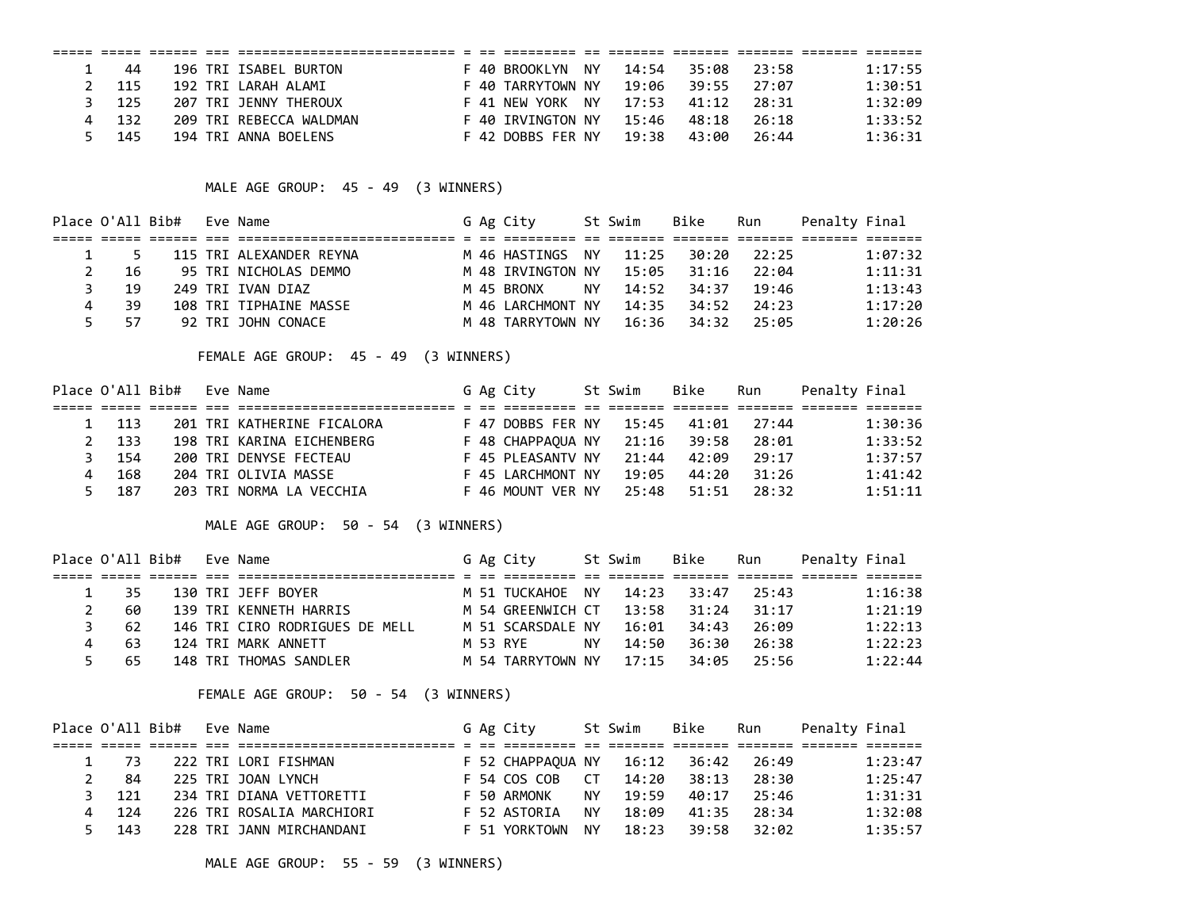| 44   |  | 196 TRI ISABEL BURTON   |  | F 40 BROOKIYN     | NY  | 14:54 | 35:08 | 23:58 | 1:17:55 |
|------|--|-------------------------|--|-------------------|-----|-------|-------|-------|---------|
| -115 |  | 192 TRI LARAH ALAMI     |  | F 40 TARRYTOWN NY |     | 19:06 | 39:55 | 27:07 | 1:30:51 |
| -125 |  | 207 TRT JFNNY THEROUX   |  | F 41 NFW YORK     | NY. | 17:53 | 41:12 | 28:31 | 1:32:09 |
| 132  |  | 209 TRI REBECCA WALDMAN |  | F 40 TRVINGTON NY |     | 15:46 | 48:18 | 26:18 | 1:33:52 |
| 145  |  | 194 TRI ANNA BOELENS    |  | F 42 DOBBS FER NY |     | 19:38 | 43:00 | 26:44 | 1:36:31 |

MALE AGE GROUP: 45 - 49 (3 WINNERS)

|   |             | Place O'All Bib# Eve Name |                         |  | G Ag City                          |     | St Swim | Bike        | Run   | Penalty Final |         |
|---|-------------|---------------------------|-------------------------|--|------------------------------------|-----|---------|-------------|-------|---------------|---------|
|   |             |                           |                         |  |                                    |     |         |             |       |               |         |
|   | $1 \quad 5$ |                           | 115 TRI ALEXANDER REYNA |  | M 46 HASTINGS NY 11:25 30:20 22:25 |     |         |             |       |               | 1:07:32 |
| 2 | - 16        |                           | 95 TRI NICHOLAS DEMMO   |  | M 48 IRVINGTON NY                  |     |         | 15:05 31:16 | 22:04 |               | 1:11:31 |
| 3 | - 19        |                           | 249 TRI IVAN DIAZ       |  | M 45 BRONX                         | NY. |         | 14:52 34:37 | 19:46 |               | 1:13:43 |
|   | -39         |                           | 108 TRI TIPHAINE MASSE  |  | M 46 LARCHMONT NY                  |     |         | 14:35 34:52 | 24:23 |               | 1:17:20 |
|   | -57<br>5.   |                           | 92 TRI JOHN CONACE      |  | M 48 TARRYTOWN NY                  |     |         | 16:36 34:32 | 25:05 |               | 1:20:26 |

FEMALE AGE GROUP: 45 - 49 (3 WINNERS)

|    | Place O'All Bib# |  | Eve Name                   |  | G Ag City         | St Swim | Bike  | Run   | Penalty Final |         |
|----|------------------|--|----------------------------|--|-------------------|---------|-------|-------|---------------|---------|
|    |                  |  |                            |  |                   |         |       |       |               |         |
|    | 1 113            |  | 201 TRI KATHERINE FICALORA |  | F 47 DOBBS FER NY | 15:45   | 41:01 | 27:44 |               | 1:30:36 |
| 2  | - 133            |  | 198 TRI KARINA EICHENBERG  |  | F 48 CHAPPAOUA NY | 21:16   | 39:58 | 28:01 |               | 1:33:52 |
|    | 154              |  | 200 TRI DENYSE FECTEAU     |  | F 45 PLEASANTV NY | 21:44   | 42:09 | 29:17 |               | 1:37:57 |
|    | 168              |  | 204 TRI OLIVIA MASSE       |  | F 45 LARCHMONT NY | 19:05   | 44:20 | 31:26 |               | 1:41:42 |
| Б. | 187              |  | 203 TRI NORMA LA VECCHIA   |  | F 46 MOUNT VER NY | 25:48   | 51:51 | 28:32 |               | 1:51:11 |

MALE AGE GROUP: 50 - 54 (3 WINNERS)

|             |      | Place O'All Bib# Eve Name |                                |  | G Ag City         |     | St Swim | Bike                    | Run   | Penalty Final |         |
|-------------|------|---------------------------|--------------------------------|--|-------------------|-----|---------|-------------------------|-------|---------------|---------|
|             |      |                           |                                |  |                   |     |         |                         |       |               |         |
|             | 1 35 |                           | 130 TRI JEFF BOYER             |  | M 51 TUCKAHOE NY  |     |         | 14:23 33:47 25:43       |       |               | 1:16:38 |
| $2^{\circ}$ | 60   |                           | 139 TRI KENNETH HARRIS         |  | M 54 GREENWICH CT |     |         | 13:58 31:24             | 31:17 |               | 1:21:19 |
| 3.          | - 62 |                           | 146 TRI CIRO RODRIGUES DE MELL |  | M 51 SCARSDALE NY |     | 16:01   | 34:43                   | 26:09 |               | 1:22:13 |
| 4           | -63  |                           | 124 TRI MARK ANNETT            |  | M 53 RYF          | NY. | 14:50   | 36:30                   | 26:38 |               | 1:22:23 |
| 5           | - 65 |                           | 148 TRI THOMAS SANDLER         |  | M 54 TARRYTOWN NY |     |         | $17:15$ $34:95$ $25:56$ |       |               | 1:22:44 |

FEMALE AGE GROUP: 50 - 54 (3 WINNERS)

|       | Place O'All Bib# Eve Name |                           |  | G Ag City         |     | St Swim | Bike              | Run         | Penalty Final |         |
|-------|---------------------------|---------------------------|--|-------------------|-----|---------|-------------------|-------------|---------------|---------|
|       |                           |                           |  |                   |     |         |                   |             |               |         |
| 1 73  |                           | 222 TRI LORI FISHMAN      |  | F 52 CHAPPAOUA NY |     |         | 16:12 36:42 26:49 |             |               | 1:23:47 |
| 2 84  |                           | 225 TRI JOAN LYNCH        |  | F 54 COS COB CT   |     | 14:20   | $-38:13$          | 28:30       |               | 1:25:47 |
| 3 121 |                           | 234 TRI DIANA VETTORETTI  |  | F 50 ARMONK       | NY. | 19:59   | 40:17             | 25:46       |               | 1:31:31 |
| 4 124 |                           | 226 TRI ROSALIA MARCHIORI |  | F 52 ASTORIA      | NY. | 18:09   |                   | 41:35 28:34 |               | 1:32:08 |
| 5 143 |                           | 228 TRI JANN MIRCHANDANI  |  | F 51 YORKTOWN     | NY. | 18:23   |                   | 39:58 32:02 |               | 1:35:57 |

MALE AGE GROUP: 55 - 59 (3 WINNERS)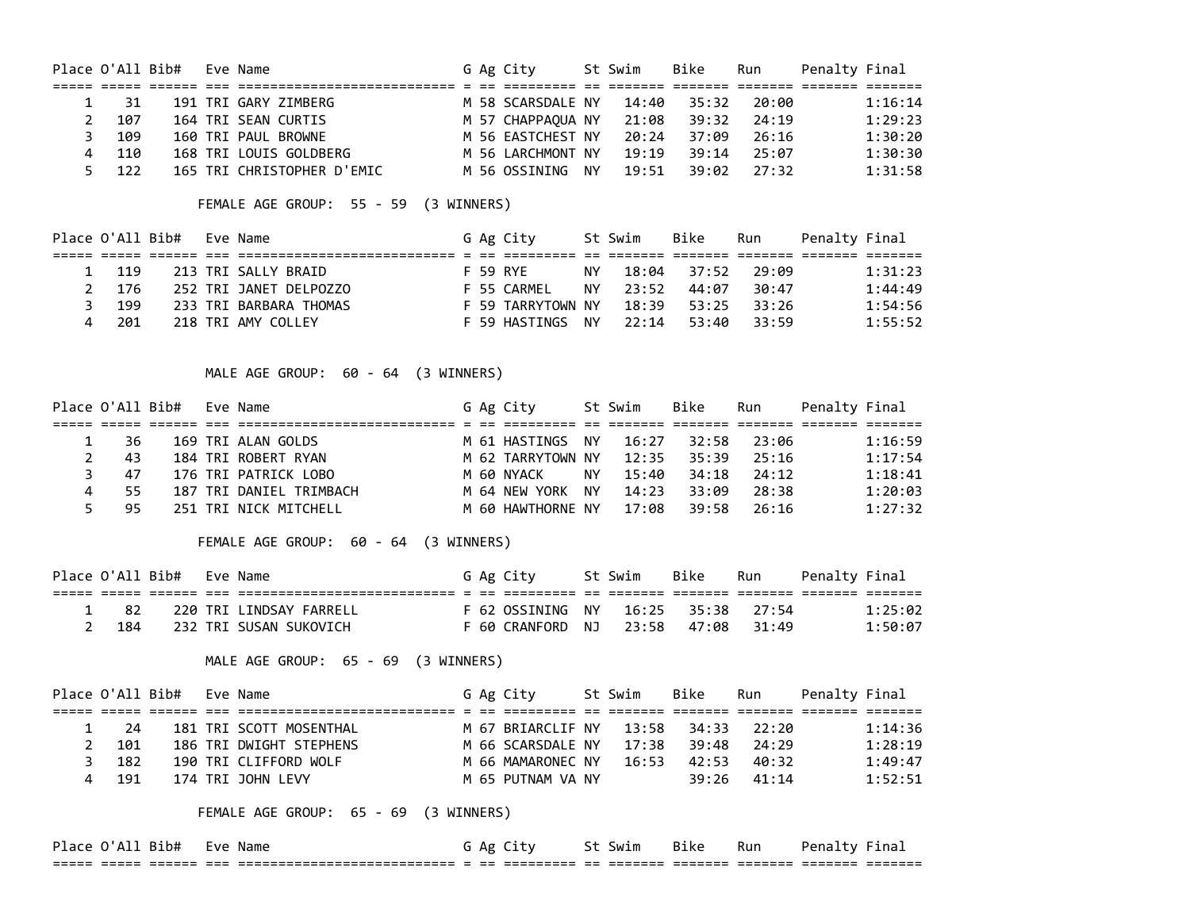| Place O'All Bib# |       |  | Eve Name                   |  | G Ag City         | St Swim | Bike  | Run     | Penalty Final |         |
|------------------|-------|--|----------------------------|--|-------------------|---------|-------|---------|---------------|---------|
|                  |       |  |                            |  |                   |         |       |         |               |         |
|                  | -31   |  | 191 TRI GARY ZIMBERG       |  | M 58 SCARSDALE NY | 14:40   | 35:32 | 20:00   |               | 1:16:14 |
|                  | 107   |  | 164 TRI SEAN CURTIS        |  | M 57 CHAPPAOUA NY | 21:08   | 39:32 | 24:19   |               | 1:29:23 |
|                  | 3 109 |  | 160 TRI PAUL BROWNE        |  | M 56 EASTCHEST NY | 20:24   | 37:09 | - 26:16 |               | 1:30:20 |
|                  | 4 110 |  | 168 TRI LOUIS GOLDBERG     |  | M 56 LARCHMONT NY | 19:19   | 39:14 | 25:07   |               | 1:30:30 |
|                  | 5 122 |  | 165 TRI CHRISTOPHER D'EMIC |  | M 56 OSSINING NY  | 19:51   | 39:02 | - 27:32 |               | 1:31:58 |

FEMALE AGE GROUP: 55 - 59 (3 WINNERS)

|       | Place O'All Bib# Eve Name |                        |  | G Ag City         |     | St Swim | Bike        | Run   | Penalty Final |         |
|-------|---------------------------|------------------------|--|-------------------|-----|---------|-------------|-------|---------------|---------|
|       |                           |                        |  |                   |     |         |             |       |               |         |
| 1 119 |                           | 213 TRI SALLY BRAID    |  | F 59 RYE          | NY. |         | 18:04 37:52 | 29:09 |               | 1:31:23 |
| 2 176 |                           | 252 TRI JANET DELPOZZO |  | F 55 CARMFI       | NY. | 23:52   | 44:07       | 30:47 |               | 1:44:49 |
| - 199 |                           | 233 TRI BARBARA THOMAS |  | F 59 TARRYTOWN NY |     |         | 18:39 53:25 | 33:26 |               | 1:54:56 |
| 201   |                           | 218 TRI AMY COLLEY     |  | F 59 HASTINGS NY  |     | 22:14   | 53:40       | 33:59 |               | 1:55:52 |

MALE AGE GROUP: 60 - 64 (3 WINNERS)

|   |      | Place O'All Bib# Eve Name |                         |  | G Ag City                           |     | St Swim | Bike              | Run         | Penalty Final |         |
|---|------|---------------------------|-------------------------|--|-------------------------------------|-----|---------|-------------------|-------------|---------------|---------|
|   |      |                           |                         |  |                                     |     |         |                   |             |               |         |
|   | 1 36 |                           | 169 TRI ALAN GOLDS      |  | M 61 HASTINGS NY                    |     | 16:27   |                   | 32:58 23:06 |               | 1:16:59 |
|   | 2 43 |                           | 184 TRI ROBERT RYAN     |  | M 62 TARRYTOWN NY                   |     |         | 12:35 35:39 25:16 |             |               | 1:17:54 |
| 3 | -47  |                           | 176 TRI PATRICK LOBO    |  | M 60 NYACK                          | NY. |         | 15:40 34:18 24:12 |             |               | 1:18:41 |
| 4 | 55   |                           | 187 TRI DANIEL TRIMBACH |  | M 64 NEW YORK NY                    |     |         | 14:23 33:09       | - 28:38     |               | 1:20:03 |
|   | 5 95 |                           | 251 TRI NICK MITCHELL   |  | M 60 HAWTHORNE NY 17:08 39:58 26:16 |     |         |                   |             |               | 1:27:32 |

FEMALE AGE GROUP: 60 - 64 (3 WINNERS)

|             | Place O'All Bib# Eve Name |                         |  | G Ag City                          | St Swim | Bike | Run | Penalty Final |         |
|-------------|---------------------------|-------------------------|--|------------------------------------|---------|------|-----|---------------|---------|
|             |                           |                         |  |                                    |         |      |     |               |         |
| $\sqrt{82}$ |                           | 220 TRI LINDSAY FARRELL |  | F 62 OSSINING NY 16:25 35:38 27:54 |         |      |     |               | 1:25:02 |
| - 184       |                           | 232 TRI SUSAN SUKOVICH  |  | F 60 CRANFORD NJ 23:58 47:08 31:49 |         |      |     |               | 1:50:07 |

MALE AGE GROUP: 65 - 69 (3 WINNERS)

|       | Place O'All Bib# Eve Name |                         |  | G Ag City         | St Swim | Bike              | Run   | Penalty Final |         |
|-------|---------------------------|-------------------------|--|-------------------|---------|-------------------|-------|---------------|---------|
|       |                           |                         |  |                   |         |                   |       |               |         |
| 1 24  |                           | 181 TRI SCOTT MOSENTHAL |  | M 67 BRIARCLIF NY |         | 13:58 34:33 22:20 |       |               | 1:14:36 |
| 101   |                           | 186 TRI DWIGHT STEPHENS |  | M 66 SCARSDALE NY |         | 17:38 39:48       | 74:29 |               | 1:28:19 |
| - 182 |                           | 190 TRI CLIFFORD WOLF   |  | M 66 MAMARONEC NY | 16:53   | 42:53             | 40:32 |               | 1:49:47 |
| - 191 |                           | 174 TRI JOHN LEVY       |  | M 65 PUTNAM VA NY |         | 39:26             | 41:14 |               | 1:52:51 |

FEMALE AGE GROUP: 65 - 69 (3 WINNERS)

| <sup>י</sup> ۵۱' (.<br>Place . | Bib# | Eve | Name                                                   | Αg           | \ T | Swim | Bike | $\sim$ $\sim$<br>Run | Pena. | .ild              |
|--------------------------------|------|-----|--------------------------------------------------------|--------------|-----|------|------|----------------------|-------|-------------------|
| ___<br>---                     |      |     | ---------------------<br>----------------------<br>___ | $-$<br>$- -$ |     |      |      |                      |       | ______<br>_______ |